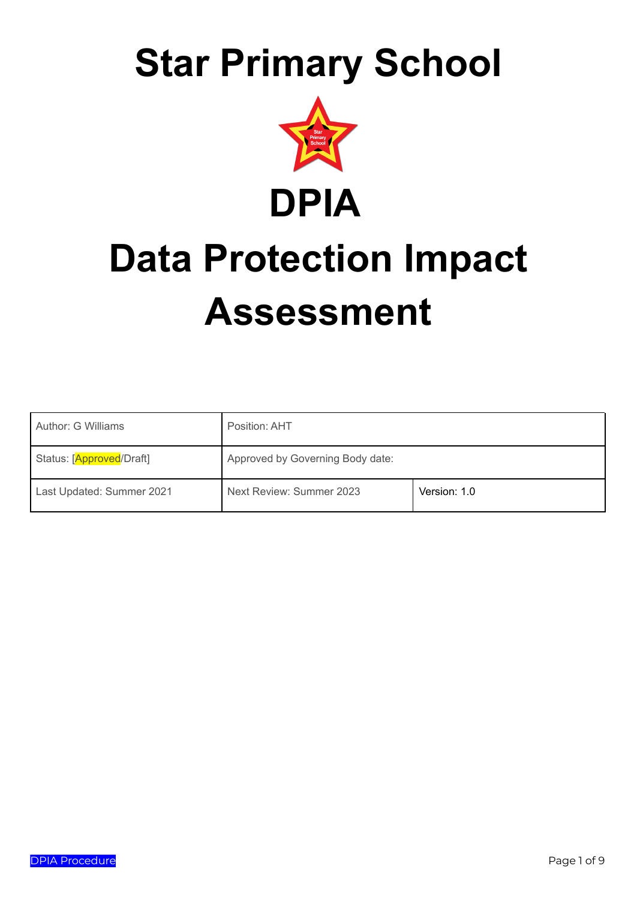## **Star Primary School**



# **Data Protection Impact Assessment**

| Author: G Williams        | Position: AHT                    |              |  |
|---------------------------|----------------------------------|--------------|--|
| Status: [Approved/Draft]  | Approved by Governing Body date: |              |  |
| Last Updated: Summer 2021 | Next Review: Summer 2023         | Version: 1.0 |  |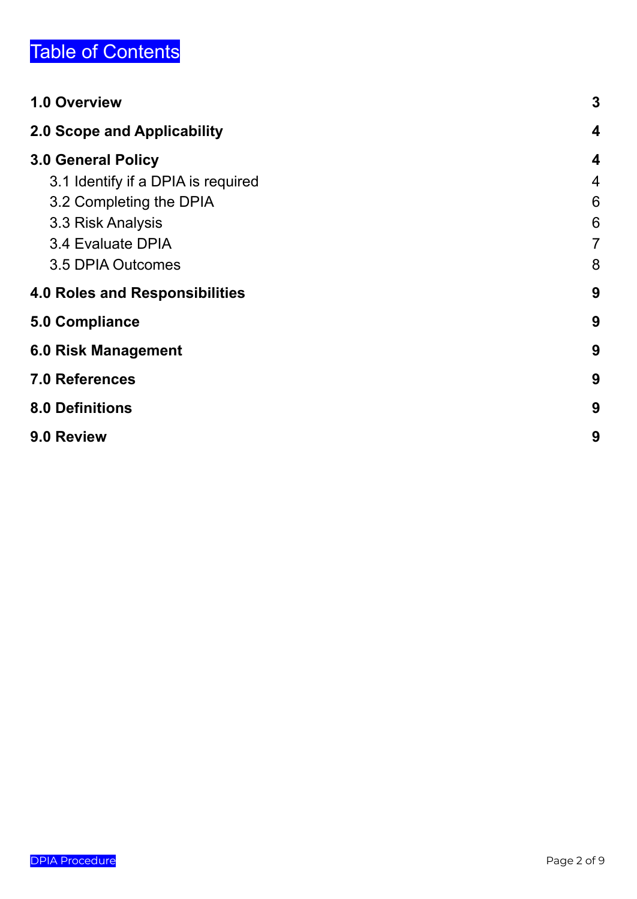## Table of Contents

| 1.0 Overview                          | $\mathbf{3}$     |
|---------------------------------------|------------------|
| 2.0 Scope and Applicability           | $\boldsymbol{4}$ |
| <b>3.0 General Policy</b>             | $\boldsymbol{4}$ |
| 3.1 Identify if a DPIA is required    | $\overline{4}$   |
| 3.2 Completing the DPIA               | 6                |
| 3.3 Risk Analysis                     | 6                |
| 3.4 Evaluate DPIA                     | $\overline{7}$   |
| 3.5 DPIA Outcomes                     | 8                |
| <b>4.0 Roles and Responsibilities</b> | 9                |
| <b>5.0 Compliance</b>                 | 9                |
| <b>6.0 Risk Management</b>            | 9                |
| <b>7.0 References</b>                 | 9                |
| <b>8.0 Definitions</b>                | 9                |
| 9.0 Review                            | 9                |
|                                       |                  |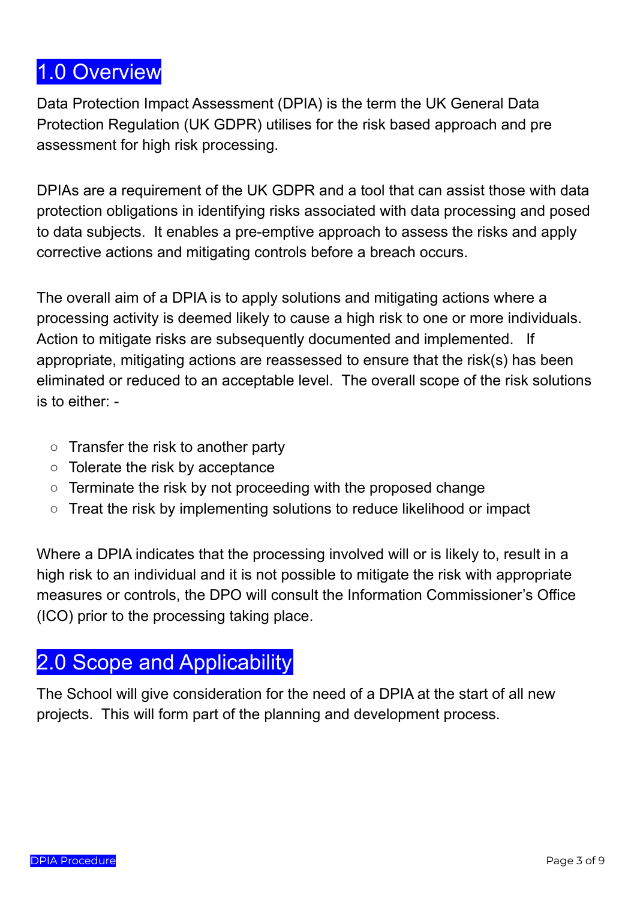## <span id="page-2-0"></span>1.0 Overview

Data Protection Impact Assessment (DPIA) is the term the UK General Data Protection Regulation (UK GDPR) utilises for the risk based approach and pre assessment for high risk processing.

DPIAs are a requirement of the UK GDPR and a tool that can assist those with data protection obligations in identifying risks associated with data processing and posed to data subjects. It enables a pre-emptive approach to assess the risks and apply corrective actions and mitigating controls before a breach occurs.

The overall aim of a DPIA is to apply solutions and mitigating actions where a processing activity is deemed likely to cause a high risk to one or more individuals. Action to mitigate risks are subsequently documented and implemented. If appropriate, mitigating actions are reassessed to ensure that the risk(s) has been eliminated or reduced to an acceptable level. The overall scope of the risk solutions is to either: -

- Transfer the risk to another party
- Tolerate the risk by acceptance
- Terminate the risk by not proceeding with the proposed change
- Treat the risk by implementing solutions to reduce likelihood or impact

Where a DPIA indicates that the processing involved will or is likely to, result in a high risk to an individual and it is not possible to mitigate the risk with appropriate measures or controls, the DPO will consult the Information Commissioner's Office (ICO) prior to the processing taking place.

### <span id="page-2-1"></span>2.0 Scope and Applicability

The School will give consideration for the need of a DPIA at the start of all new projects. This will form part of the planning and development process.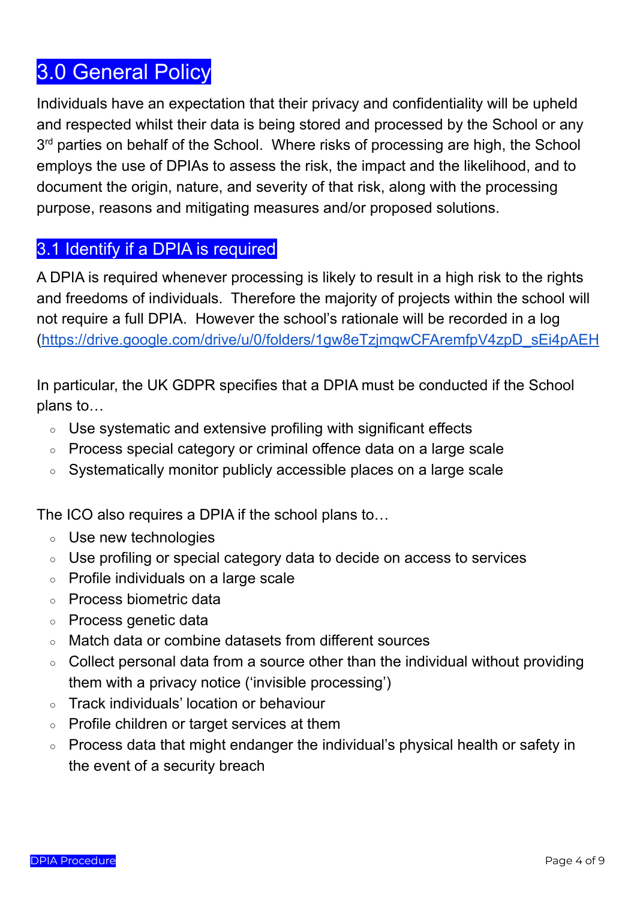## <span id="page-3-0"></span>3.0 General Policy

Individuals have an expectation that their privacy and confidentiality will be upheld and respected whilst their data is being stored and processed by the School or any 3<sup>rd</sup> parties on behalf of the School. Where risks of processing are high, the School employs the use of DPIAs to assess the risk, the impact and the likelihood, and to document the origin, nature, and severity of that risk, along with the processing purpose, reasons and mitigating measures and/or proposed solutions.

#### <span id="page-3-1"></span>3.1 Identify if a DPIA is required

A DPIA is required whenever processing is likely to result in a high risk to the rights and freedoms of individuals. Therefore the majority of projects within the school will not require a full DPIA. However the school's rationale will be recorded in a log [\(https://drive.google.com/drive/u/0/folders/1gw8eTzjmqwCFAremfpV4zpD\\_sEi4pAEH](https://drive.google.com/drive/u/0/folders/1gw8eTzjmqwCFAremfpV4zpD_sEi4pAEH)

In particular, the UK GDPR specifies that a DPIA must be conducted if the School plans to…

- Use systematic and extensive profiling with significant effects
- Process special category or criminal offence data on a large scale
- Systematically monitor publicly accessible places on a large scale

The ICO also requires a DPIA if the school plans to…

- Use new technologies
- Use profiling or special category data to decide on access to services
- Profile individuals on a large scale
- Process biometric data
- Process genetic data
- Match data or combine datasets from different sources
- Collect personal data from a source other than the individual without providing them with a privacy notice ('invisible processing')
- Track individuals' location or behaviour
- Profile children or target services at them
- Process data that might endanger the individual's physical health or safety in the event of a security breach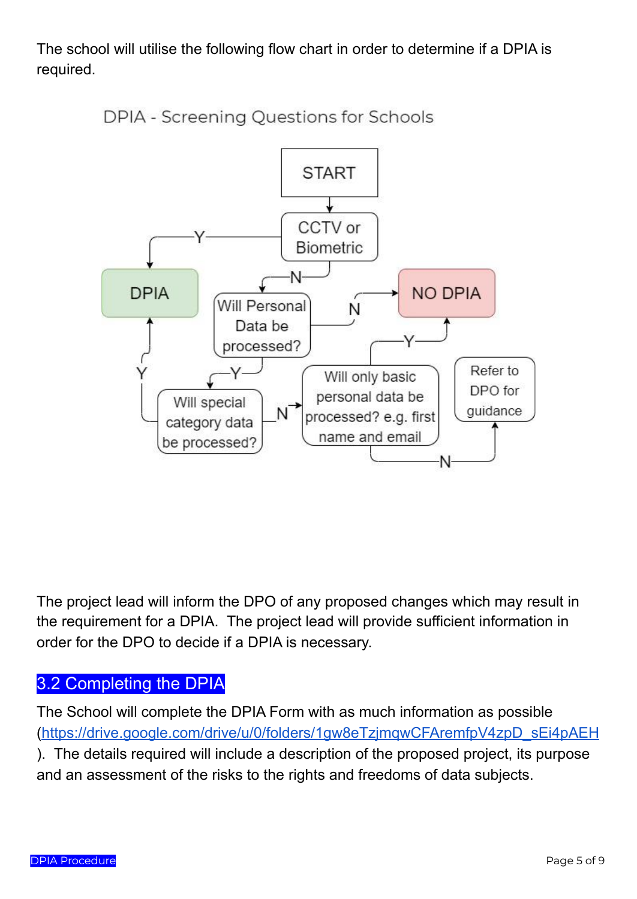The school will utilise the following flow chart in order to determine if a DPIA is required.



DPIA - Screening Questions for Schools

The project lead will inform the DPO of any proposed changes which may result in the requirement for a DPIA. The project lead will provide sufficient information in order for the DPO to decide if a DPIA is necessary.

#### <span id="page-4-0"></span>3.2 Completing the DPIA

The School will complete the DPIA Form with as much information as possible [\(https://drive.google.com/drive/u/0/folders/1gw8eTzjmqwCFAremfpV4zpD\\_sEi4pAEH](https://drive.google.com/drive/u/0/folders/1gw8eTzjmqwCFAremfpV4zpD_sEi4pAEH) ). The details required will include a description of the proposed project, its purpose and an assessment of the risks to the rights and freedoms of data subjects.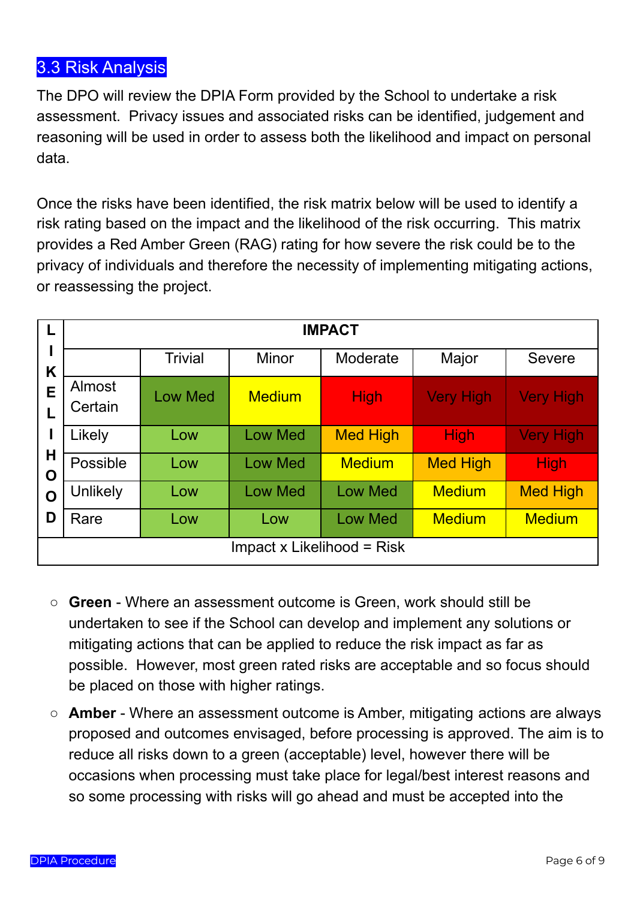#### <span id="page-5-0"></span>3.3 Risk Analysis

The DPO will review the DPIA Form provided by the School to undertake a risk assessment. Privacy issues and associated risks can be identified, judgement and reasoning will be used in order to assess both the likelihood and impact on personal data.

Once the risks have been identified, the risk matrix below will be used to identify a risk rating based on the impact and the likelihood of the risk occurring. This matrix provides a Red Amber Green (RAG) rating for how severe the risk could be to the privacy of individuals and therefore the necessity of implementing mitigating actions, or reassessing the project.

| L                                 | <b>IMPACT</b>     |                |                |                 |                  |                  |  |  |
|-----------------------------------|-------------------|----------------|----------------|-----------------|------------------|------------------|--|--|
| K<br>E                            |                   | <b>Trivial</b> | <b>Minor</b>   | Moderate        | Major            | <b>Severe</b>    |  |  |
|                                   | Almost<br>Certain | <b>Low Med</b> | <b>Medium</b>  | <b>High</b>     | <b>Very High</b> | <b>Very High</b> |  |  |
|                                   | Likely            | Low            | <b>Low Med</b> | <b>Med High</b> | <b>High</b>      | <b>Very High</b> |  |  |
| Н<br>O                            | Possible          | Low            | <b>Low Med</b> | <b>Medium</b>   | <b>Med High</b>  | <b>High</b>      |  |  |
| $\mathbf 0$                       | Unlikely          | Low            | <b>Low Med</b> | <b>Low Med</b>  | <b>Medium</b>    | <b>Med High</b>  |  |  |
| D                                 | Rare              | Low            | Low            | <b>Low Med</b>  | <b>Medium</b>    | <b>Medium</b>    |  |  |
| <b>Impact x Likelihood = Risk</b> |                   |                |                |                 |                  |                  |  |  |

- **Green** Where an assessment outcome is Green, work should still be undertaken to see if the School can develop and implement any solutions or mitigating actions that can be applied to reduce the risk impact as far as possible. However, most green rated risks are acceptable and so focus should be placed on those with higher ratings.
- **Amber** Where an assessment outcome is Amber, mitigating actions are always proposed and outcomes envisaged, before processing is approved. The aim is to reduce all risks down to a green (acceptable) level, however there will be occasions when processing must take place for legal/best interest reasons and so some processing with risks will go ahead and must be accepted into the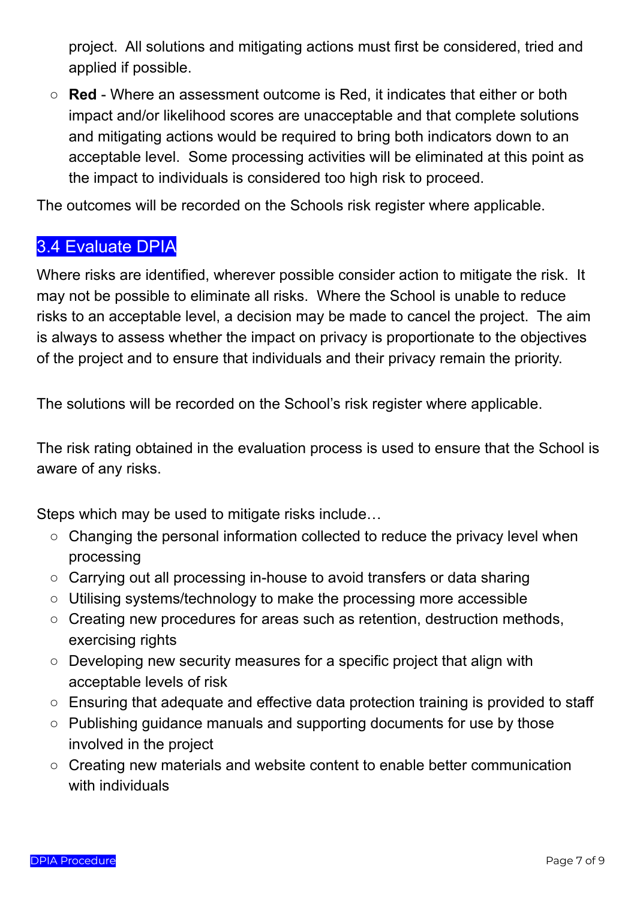project. All solutions and mitigating actions must first be considered, tried and applied if possible.

○ **Red** - Where an assessment outcome is Red, it indicates that either or both impact and/or likelihood scores are unacceptable and that complete solutions and mitigating actions would be required to bring both indicators down to an acceptable level. Some processing activities will be eliminated at this point as the impact to individuals is considered too high risk to proceed.

<span id="page-6-0"></span>The outcomes will be recorded on the Schools risk register where applicable.

#### 3.4 Evaluate DPIA

Where risks are identified, wherever possible consider action to mitigate the risk. It may not be possible to eliminate all risks. Where the School is unable to reduce risks to an acceptable level, a decision may be made to cancel the project. The aim is always to assess whether the impact on privacy is proportionate to the objectives of the project and to ensure that individuals and their privacy remain the priority.

The solutions will be recorded on the School's risk register where applicable.

The risk rating obtained in the evaluation process is used to ensure that the School is aware of any risks.

Steps which may be used to mitigate risks include…

- Changing the personal information collected to reduce the privacy level when processing
- Carrying out all processing in-house to avoid transfers or data sharing
- Utilising systems/technology to make the processing more accessible
- Creating new procedures for areas such as retention, destruction methods, exercising rights
- Developing new security measures for a specific project that align with acceptable levels of risk
- Ensuring that adequate and effective data protection training is provided to staff
- Publishing guidance manuals and supporting documents for use by those involved in the project
- Creating new materials and website content to enable better communication with individuals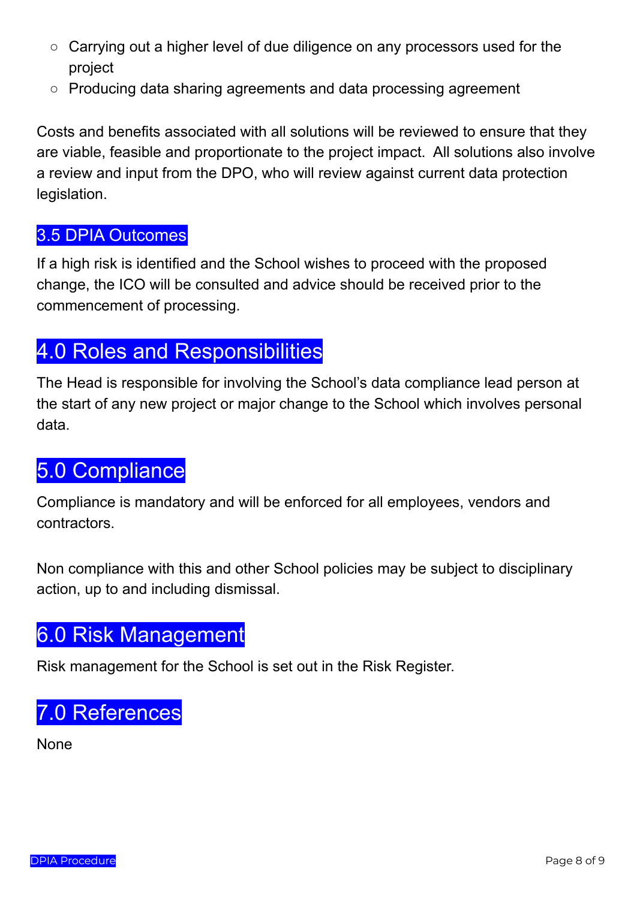- Carrying out a higher level of due diligence on any processors used for the project
- Producing data sharing agreements and data processing agreement

Costs and benefits associated with all solutions will be reviewed to ensure that they are viable, feasible and proportionate to the project impact. All solutions also involve a review and input from the DPO, who will review against current data protection legislation.

#### <span id="page-7-0"></span>3.5 DPIA Outcomes

If a high risk is identified and the School wishes to proceed with the proposed change, the ICO will be consulted and advice should be received prior to the commencement of processing.

## <span id="page-7-1"></span>4.0 Roles and Responsibilities

The Head is responsible for involving the School's data compliance lead person at the start of any new project or major change to the School which involves personal data.

## <span id="page-7-2"></span>5.0 Compliance

Compliance is mandatory and will be enforced for all employees, vendors and contractors.

Non compliance with this and other School policies may be subject to disciplinary action, up to and including dismissal.

## <span id="page-7-3"></span>6.0 Risk Management

<span id="page-7-4"></span>Risk management for the School is set out in the Risk Register.

## 7.0 References

None